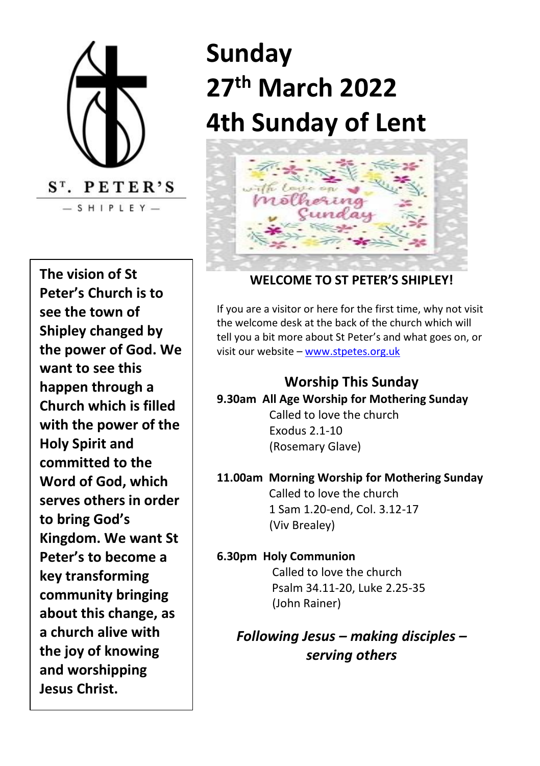

**The vision of St Peter's Church is to see the town of Shipley changed by the power of God. We want to see this happen through a Church which is filled with the power of the Holy Spirit and committed to the Word of God, which serves others in order to bring God's Kingdom. We want St Peter's to become a key transforming community bringing about this change, as a church alive with the joy of knowing and worshipping Jesus Christ.**

# **Sunday 27 th March 2022 4th Sunday of Lent**



#### **WELCOME TO ST PETER'S SHIPLEY!**

If you are a visitor or here for the first time, why not visit the welcome desk at the back of the church which will tell you a bit more about St Peter's and what goes on, or visit our website – [www.stpetes.org.uk](http://www.stpetes.org.uk/)

#### **Worship This Sunday 9.30am All Age Worship for Mothering Sunday** Called to love the church

 Exodus 2.1-10 (Rosemary Glave)

# **11.00am Morning Worship for Mothering Sunday**

Called to love the church 1 Sam 1.20-end, Col. 3.12-17 (Viv Brealey)

#### **6.30pm Holy Communion**

Called to love the church Psalm 34.11-20, Luke 2.25-35 (John Rainer)

*Following Jesus – making disciples – serving others*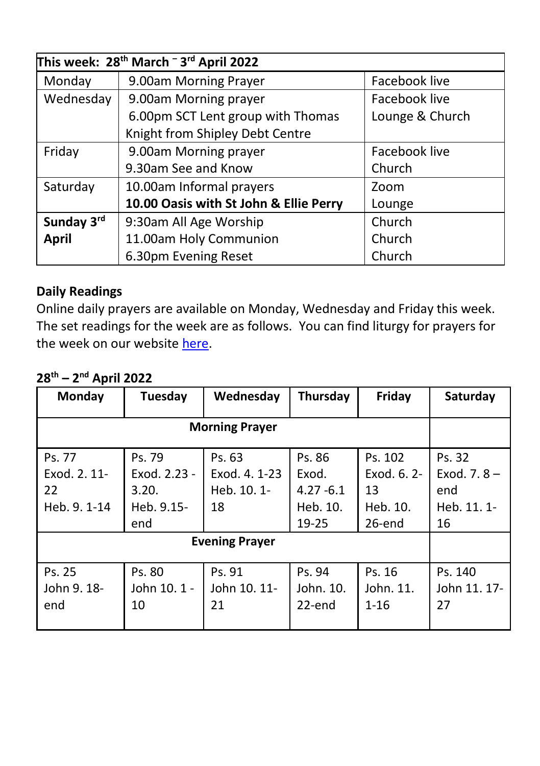| This week: 28 <sup>th</sup> March <sup>-3rd</sup> April 2022 |                                        |                 |  |  |
|--------------------------------------------------------------|----------------------------------------|-----------------|--|--|
| Monday                                                       | 9.00am Morning Prayer                  | Facebook live   |  |  |
| Wednesday                                                    | 9.00am Morning prayer                  | Facebook live   |  |  |
|                                                              | 6.00pm SCT Lent group with Thomas      | Lounge & Church |  |  |
|                                                              | Knight from Shipley Debt Centre        |                 |  |  |
| Friday                                                       | 9.00am Morning prayer                  | Facebook live   |  |  |
|                                                              | 9.30am See and Know                    | Church          |  |  |
| Saturday                                                     | 10.00am Informal prayers               | Zoom            |  |  |
|                                                              | 10.00 Oasis with St John & Ellie Perry | Lounge          |  |  |
| Sunday 3rd                                                   | 9:30am All Age Worship                 | Church          |  |  |
| <b>April</b>                                                 | 11.00am Holy Communion                 | Church          |  |  |
|                                                              | 6.30pm Evening Reset                   | Church          |  |  |

#### **Daily Readings**

Online daily prayers are available on Monday, Wednesday and Friday this week. The set readings for the week are as follows. You can find liturgy for prayers for the week on our websit[e here.](https://stpetes.org.uk/)

# **28 th – 2 nd April 2022**

| Monday                                       | Tuesday                                              | Wednesday                                    | Thursday                                             | Friday                                             | Saturday                                             |
|----------------------------------------------|------------------------------------------------------|----------------------------------------------|------------------------------------------------------|----------------------------------------------------|------------------------------------------------------|
| <b>Morning Prayer</b>                        |                                                      |                                              |                                                      |                                                    |                                                      |
| Ps. 77<br>Exod. 2. 11-<br>22<br>Heb. 9. 1-14 | Ps. 79<br>Exod. 2.23 -<br>3.20.<br>Heb. 9.15-<br>end | Ps. 63<br>Exod. 4. 1-23<br>Heb. 10. 1-<br>18 | Ps. 86<br>Exod.<br>$4.27 - 6.1$<br>Heb. 10.<br>19-25 | Ps. 102<br>Exod. 6. 2-<br>13<br>Heb. 10.<br>26-end | Ps. 32<br>Exod. 7. $8 -$<br>end<br>Heb. 11. 1-<br>16 |
| <b>Evening Prayer</b>                        |                                                      |                                              |                                                      |                                                    |                                                      |
| Ps. 25<br>John 9. 18-<br>end                 | Ps. 80<br>John 10. 1 -<br>10                         | Ps. 91<br>John 10, 11-<br>21                 | Ps. 94<br>John. 10.<br>22-end                        | Ps. 16<br>John. 11.<br>$1 - 16$                    | Ps. 140<br>John 11, 17-<br>27                        |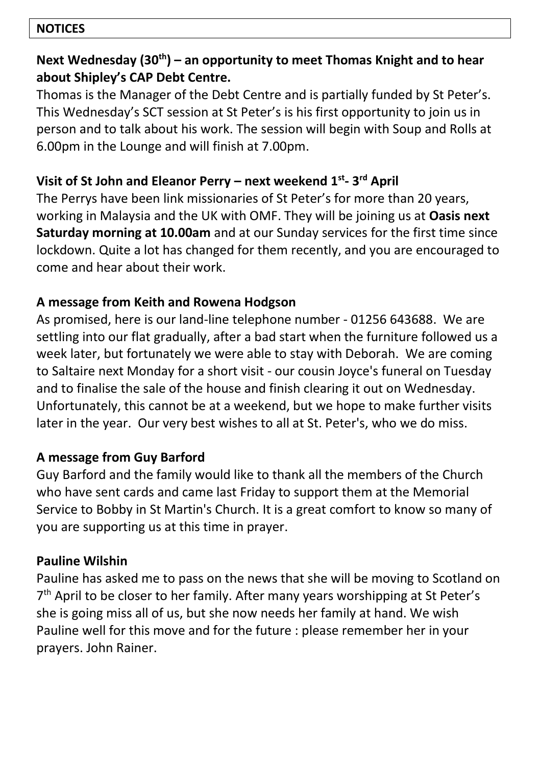#### **NOTICES**

#### **Next Wednesday (30th) – an opportunity to meet Thomas Knight and to hear about Shipley's CAP Debt Centre.**

Thomas is the Manager of the Debt Centre and is partially funded by St Peter's. This Wednesday's SCT session at St Peter's is his first opportunity to join us in person and to talk about his work. The session will begin with Soup and Rolls at 6.00pm in the Lounge and will finish at 7.00pm.

# **Visit of St John and Eleanor Perry – next weekend 1st - 3 rd April**

The Perrys have been link missionaries of St Peter's for more than 20 years, working in Malaysia and the UK with OMF. They will be joining us at **Oasis next Saturday morning at 10.00am** and at our Sunday services for the first time since lockdown. Quite a lot has changed for them recently, and you are encouraged to come and hear about their work.

#### **A message from Keith and Rowena Hodgson**

As promised, here is our land-line telephone number - 01256 643688. We are settling into our flat gradually, after a bad start when the furniture followed us a week later, but fortunately we were able to stay with Deborah. We are coming to Saltaire next Monday for a short visit - our cousin Joyce's funeral on Tuesday and to finalise the sale of the house and finish clearing it out on Wednesday. Unfortunately, this cannot be at a weekend, but we hope to make further visits later in the year. Our very best wishes to all at St. Peter's, who we do miss.

# **A message from Guy Barford**

Guy Barford and the family would like to thank all the members of the Church who have sent cards and came last Friday to support them at the Memorial Service to Bobby in St Martin's Church. It is a great comfort to know so many of you are supporting us at this time in prayer.

#### **Pauline Wilshin**

Pauline has asked me to pass on the news that she will be moving to Scotland on 7 th April to be closer to her family. After many years worshipping at St Peter's she is going miss all of us, but she now needs her family at hand. We wish Pauline well for this move and for the future : please remember her in your prayers. John Rainer.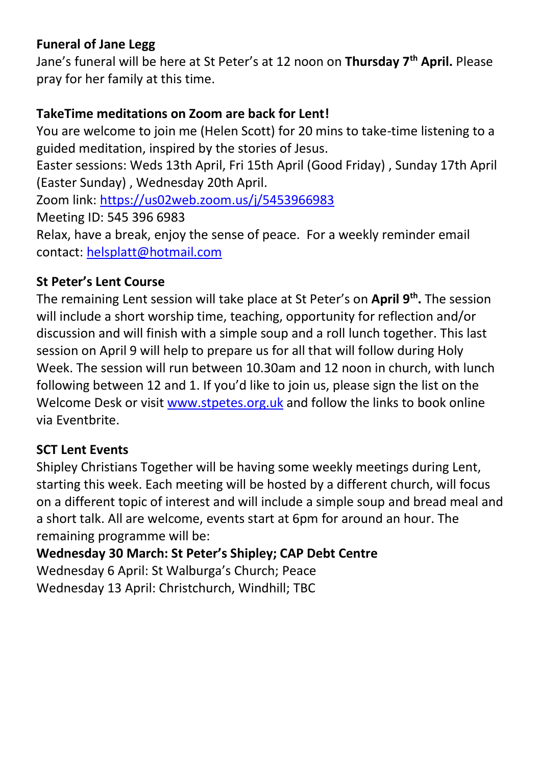#### **Funeral of Jane Legg**

Jane's funeral will be here at St Peter's at 12 noon on **Thursday 7th April.** Please pray for her family at this time.

#### **TakeTime meditations on Zoom are back for Lent!**

You are welcome to join me (Helen Scott) for 20 mins to take-time listening to a guided meditation, inspired by the stories of Jesus.

Easter sessions: Weds 13th April, Fri 15th April (Good Friday) , Sunday 17th April (Easter Sunday) , Wednesday 20th April.

Zoom link[: https://us02web.zoom.us/j/5453966983](https://us02web.zoom.us/j/5453966983)

Meeting ID: 545 396 6983

Relax, have a break, enjoy the sense of peace. For a weekly reminder email contact: [helsplatt@hotmail.com](mailto:helsplatt@hotmail.com)

#### **St Peter's Lent Course**

The remaining Lent session will take place at St Peter's on **April 9 th .** The session will include a short worship time, teaching, opportunity for reflection and/or discussion and will finish with a simple soup and a roll lunch together. This last session on April 9 will help to prepare us for all that will follow during Holy Week. The session will run between 10.30am and 12 noon in church, with lunch following between 12 and 1. If you'd like to join us, please sign the list on the Welcome Desk or visit [www.stpetes.org.uk](http://www.stpetes.org.uk/) and follow the links to book online via Eventbrite.

#### **SCT Lent Events**

Shipley Christians Together will be having some weekly meetings during Lent, starting this week. Each meeting will be hosted by a different church, will focus on a different topic of interest and will include a simple soup and bread meal and a short talk. All are welcome, events start at 6pm for around an hour. The remaining programme will be:

**Wednesday 30 March: St Peter's Shipley; CAP Debt Centre** Wednesday 6 April: St Walburga's Church; Peace Wednesday 13 April: Christchurch, Windhill; TBC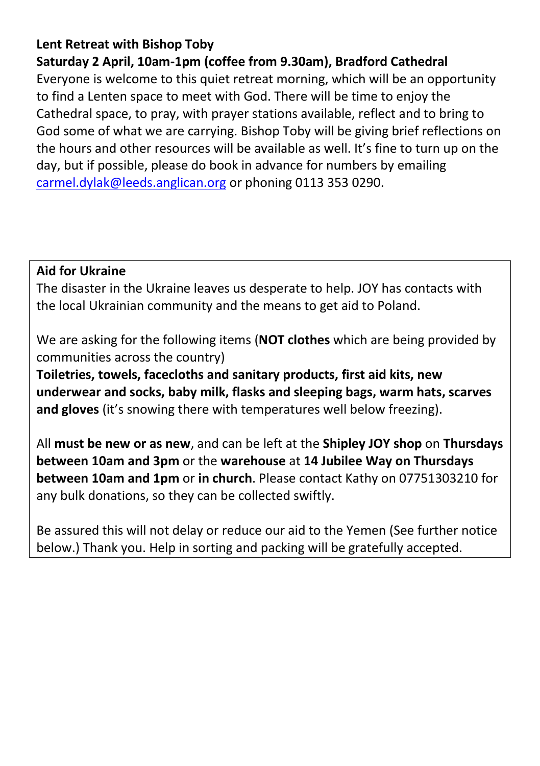#### **Lent Retreat with Bishop Toby**

**Saturday 2 April, 10am-1pm (coffee from 9.30am), Bradford Cathedral**

Everyone is welcome to this quiet retreat morning, which will be an opportunity to find a Lenten space to meet with God. There will be time to enjoy the Cathedral space, to pray, with prayer stations available, reflect and to bring to God some of what we are carrying. Bishop Toby will be giving brief reflections on the hours and other resources will be available as well. It's fine to turn up on the day, but if possible, please do book in advance for numbers by emailing [carmel.dylak@leeds.anglican.org](mailto:carmel.dylak@leeds.anglican.org) or phoning 0113 353 0290.

#### **Aid for Ukraine**

The disaster in the Ukraine leaves us desperate to help. JOY has contacts with the local Ukrainian community and the means to get aid to Poland.

We are asking for the following items (**NOT clothes** which are being provided by communities across the country)

**Toiletries, towels, facecloths and sanitary products, first aid kits, new underwear and socks, baby milk, flasks and sleeping bags, warm hats, scarves and gloves** (it's snowing there with temperatures well below freezing).

All **must be new or as new**, and can be left at the **Shipley JOY shop** on **Thursdays between 10am and 3pm** or the **warehouse** at **14 Jubilee Way on Thursdays between 10am and 1pm** or **in church**. Please contact Kathy on 07751303210 for any bulk donations, so they can be collected swiftly.

Be assured this will not delay or reduce our aid to the Yemen (See further notice below.) Thank you. Help in sorting and packing will be gratefully accepted.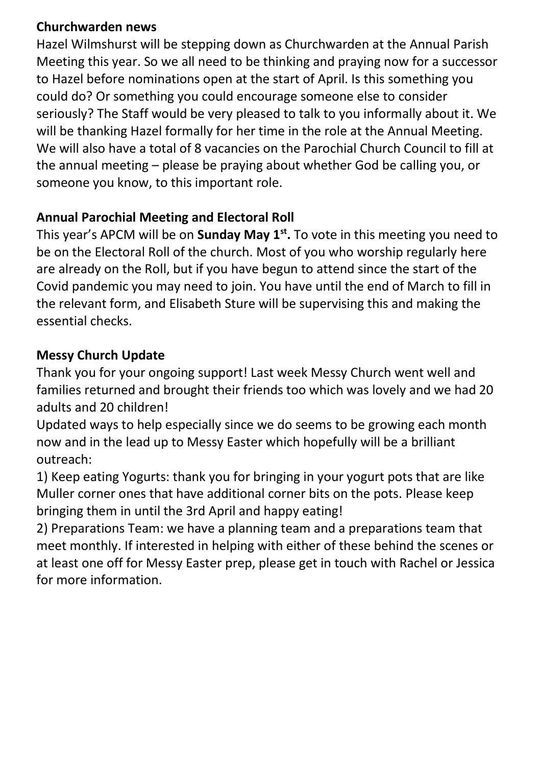#### **Churchwarden news**

Hazel Wilmshurst will be stepping down as Churchwarden at the Annual Parish Meeting this year. So we all need to be thinking and praying now for a successor to Hazel before nominations open at the start of April. Is this something you could do? Or something you could encourage someone else to consider seriously? The Staff would be very pleased to talk to you informally about it. We will be thanking Hazel formally for her time in the role at the Annual Meeting. We will also have a total of 8 vacancies on the Parochial Church Council to fill at the annual meeting – please be praying about whether God be calling you, or someone you know, to this important role.

# **Annual Parochial Meeting and Electoral Roll**

This year's APCM will be on **Sunday May 1st .** To vote in this meeting you need to be on the Electoral Roll of the church. Most of you who worship regularly here are already on the Roll, but if you have begun to attend since the start of the Covid pandemic you may need to join. You have until the end of March to fill in the relevant form, and Elisabeth Sture will be supervising this and making the essential checks.

#### **Messy Church Update**

Thank you for your ongoing support! Last week Messy Church went well and families returned and brought their friends too which was lovely and we had 20 adults and 20 children!

Updated ways to help especially since we do seems to be growing each month now and in the lead up to Messy Easter which hopefully will be a brilliant outreach:

1) Keep eating Yogurts: thank you for bringing in your yogurt pots that are like Muller corner ones that have additional corner bits on the pots. Please keep bringing them in until the 3rd April and happy eating!

2) Preparations Team: we have a planning team and a preparations team that meet monthly. If interested in helping with either of these behind the scenes or at least one off for Messy Easter prep, please get in touch with Rachel or Jessica for more information.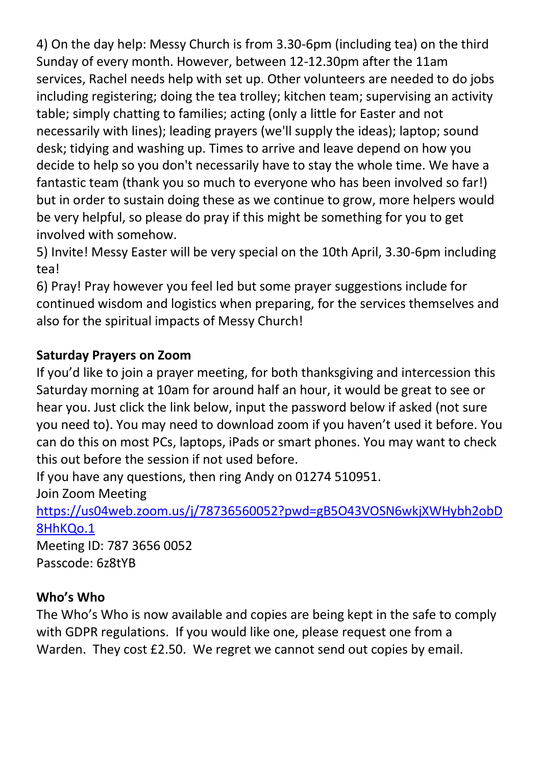4) On the day help: Messy Church is from 3.30-6pm (including tea) on the third Sunday of every month. However, between 12-12.30pm after the 11am services, Rachel needs help with set up. Other volunteers are needed to do jobs including registering; doing the tea trolley; kitchen team; supervising an activity table; simply chatting to families; acting (only a little for Easter and not necessarily with lines); leading prayers (we'll supply the ideas); laptop; sound desk; tidying and washing up. Times to arrive and leave depend on how you decide to help so you don't necessarily have to stay the whole time. We have a fantastic team (thank you so much to everyone who has been involved so far!) but in order to sustain doing these as we continue to grow, more helpers would be very helpful, so please do pray if this might be something for you to get involved with somehow.

5) Invite! Messy Easter will be very special on the 10th April, 3.30-6pm including tea!

6) Pray! Pray however you feel led but some prayer suggestions include for continued wisdom and logistics when preparing, for the services themselves and also for the spiritual impacts of Messy Church!

# **Saturday Prayers on Zoom**

If you'd like to join a prayer meeting, for both thanksgiving and intercession this Saturday morning at 10am for around half an hour, it would be great to see or hear you. Just click the link below, input the password below if asked (not sure you need to). You may need to download zoom if you haven't used it before. You can do this on most PCs, laptops, iPads or smart phones. You may want to check this out before the session if not used before.

If you have any questions, then ring Andy on 01274 510951.

Join Zoom Meeting

[https://us04web.zoom.us/j/78736560052?pwd=gB5O43VOSN6wkjXWHybh2obD](https://us04web.zoom.us/j/78736560052?pwd=gB5O43VOSN6wkjXWHybh2obD8HhKQo.1) [8HhKQo.1](https://us04web.zoom.us/j/78736560052?pwd=gB5O43VOSN6wkjXWHybh2obD8HhKQo.1)

Meeting ID: 787 3656 0052 Passcode: 6z8tYB

#### **Who's Who**

The Who's Who is now available and copies are being kept in the safe to comply with GDPR regulations. If you would like one, please request one from a Warden. They cost £2.50. We regret we cannot send out copies by email.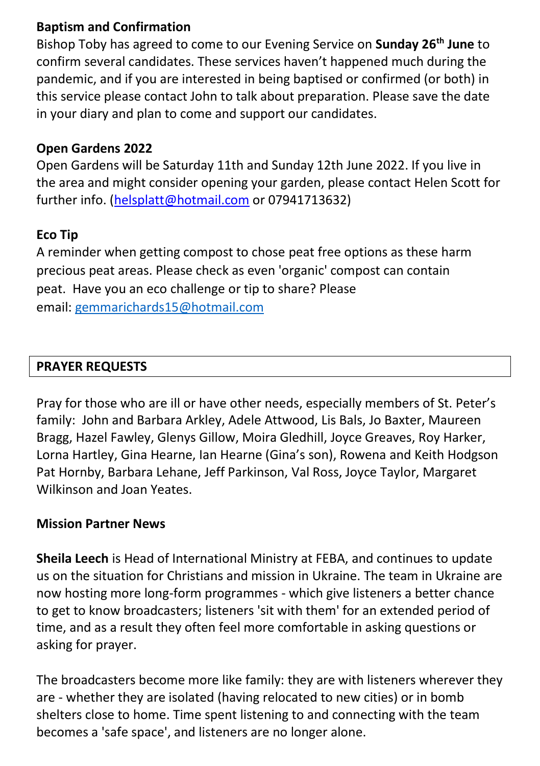#### **Baptism and Confirmation**

Bishop Toby has agreed to come to our Evening Service on **Sunday 26th June** to confirm several candidates. These services haven't happened much during the pandemic, and if you are interested in being baptised or confirmed (or both) in this service please contact John to talk about preparation. Please save the date in your diary and plan to come and support our candidates.

#### **Open Gardens 2022**

Open Gardens will be Saturday 11th and Sunday 12th June 2022. If you live in the area and might consider opening your garden, please contact Helen Scott for further info. [\(helsplatt@hotmail.com](mailto:helsplatt@hotmail.com) or 07941713632)

#### **Eco Tip**

A reminder when getting compost to chose peat free options as these harm precious peat areas. Please check as even 'organic' compost can contain peat. Have you an eco challenge or tip to share? Please email: [gemmarichards15@hotmail.com](mailto:gemmarichards15@hotmail.com)

#### **PRAYER REQUESTS**

Pray for those who are ill or have other needs, especially members of St. Peter's family: John and Barbara Arkley, Adele Attwood, Lis Bals, Jo Baxter, Maureen Bragg, Hazel Fawley, Glenys Gillow, Moira Gledhill, Joyce Greaves, Roy Harker, Lorna Hartley, Gina Hearne, Ian Hearne (Gina's son), Rowena and Keith Hodgson Pat Hornby, Barbara Lehane, Jeff Parkinson, Val Ross, Joyce Taylor, Margaret Wilkinson and Joan Yeates.

#### **Mission Partner News**

**Sheila Leech** is Head of International Ministry at FEBA, and continues to update us on the situation for Christians and mission in Ukraine. The team in Ukraine are now hosting more long-form programmes - which give listeners a better chance to get to know broadcasters; listeners 'sit with them' for an extended period of time, and as a result they often feel more comfortable in asking questions or asking for prayer.

The broadcasters become more like family: they are with listeners wherever they are - whether they are isolated (having relocated to new cities) or in bomb shelters close to home. Time spent listening to and connecting with the team becomes a 'safe space', and listeners are no longer alone.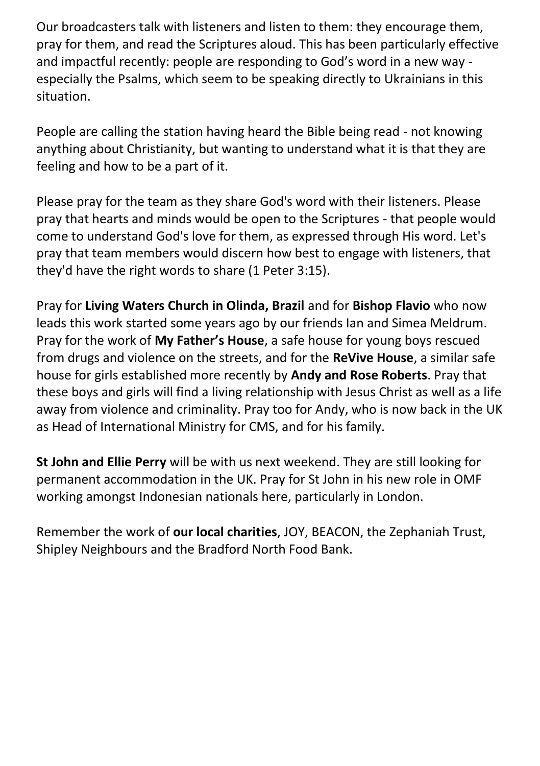Our broadcasters talk with listeners and listen to them: they encourage them, pray for them, and read the Scriptures aloud. This has been particularly effective and impactful recently: people are responding to God's word in a new way especially the Psalms, which seem to be speaking directly to Ukrainians in this situation.

People are calling the station having heard the Bible being read - not knowing anything about Christianity, but wanting to understand what it is that they are feeling and how to be a part of it.

Please pray for the team as they share God's word with their listeners. Please pray that hearts and minds would be open to the Scriptures - that people would come to understand God's love for them, as expressed through His word. Let's pray that team members would discern how best to engage with listeners, that they'd have the right words to share (1 Peter 3:15).

Pray for **Living Waters Church in Olinda, Brazil** and for **Bishop Flavio** who now leads this work started some years ago by our friends Ian and Simea Meldrum. Pray for the work of **My Father's House**, a safe house for young boys rescued from drugs and violence on the streets, and for the **ReVive House**, a similar safe house for girls established more recently by **Andy and Rose Roberts**. Pray that these boys and girls will find a living relationship with Jesus Christ as well as a life away from violence and criminality. Pray too for Andy, who is now back in the UK as Head of International Ministry for CMS, and for his family.

**St John and Ellie Perry** will be with us next weekend. They are still looking for permanent accommodation in the UK. Pray for St John in his new role in OMF working amongst Indonesian nationals here, particularly in London.

Remember the work of **our local charities**, JOY, BEACON, the Zephaniah Trust, Shipley Neighbours and the Bradford North Food Bank.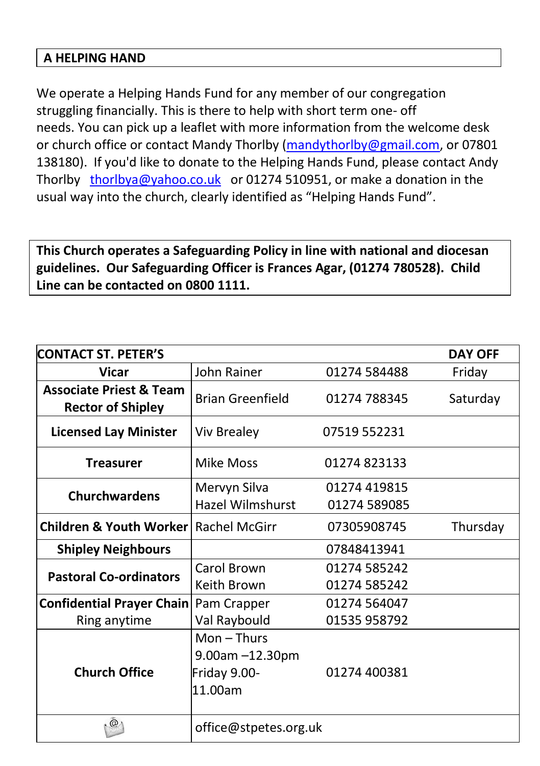#### **A HELPING HAND**

We operate a Helping Hands Fund for any member of our congregation struggling financially. This is there to help with short term one- off needs. You can pick up a leaflet with more information from the welcome desk or church office or contact Mandy Thorlby [\(mandythorlby@g](mailto:mandythorlby@)mail.com, or 07801 138180). If you'd like to donate to the Helping Hands Fund, please contact Andy Thorlby [thorlbya@yahoo.co.uk](mailto:thorlbya@yahoo.co.uk) or 01274 510951, or make a donation in the usual way into the church, clearly identified as "Helping Hands Fund".

**This Church operates a Safeguarding Policy in line with national and diocesan guidelines. Our Safeguarding Officer is Frances Agar, (01274 780528). Child Line can be contacted on 0800 1111.**

| <b>CONTACT ST. PETER'S</b>                                     |                                                            |              | <b>DAY OFF</b> |
|----------------------------------------------------------------|------------------------------------------------------------|--------------|----------------|
| <b>Vicar</b>                                                   | John Rainer                                                | 01274 584488 | Friday         |
| <b>Associate Priest &amp; Team</b><br><b>Rector of Shipley</b> | <b>Brian Greenfield</b>                                    | 01274 788345 | Saturday       |
| <b>Licensed Lay Minister</b>                                   | <b>Viv Brealey</b>                                         | 07519 552231 |                |
| <b>Treasurer</b>                                               | Mike Moss                                                  | 01274823133  |                |
|                                                                | Mervyn Silva                                               | 01274 419815 |                |
| <b>Churchwardens</b>                                           | Hazel Wilmshurst                                           | 01274 589085 |                |
| Children & Youth Worker                                        | Rachel McGirr                                              | 07305908745  | Thursday       |
| <b>Shipley Neighbours</b>                                      |                                                            | 07848413941  |                |
|                                                                | Carol Brown                                                | 01274 585242 |                |
| <b>Pastoral Co-ordinators</b>                                  | Keith Brown                                                | 01274 585242 |                |
| <b>Confidential Prayer Chain</b>                               | Pam Crapper                                                | 01274 564047 |                |
| Ring anytime                                                   | Val Raybould                                               | 01535 958792 |                |
| <b>Church Office</b>                                           | $Mon - Thus$<br>9.00am -12.30pm<br>Friday 9.00-<br>11.00am | 01274 400381 |                |
| $^{\circ}$                                                     | office@stpetes.org.uk                                      |              |                |